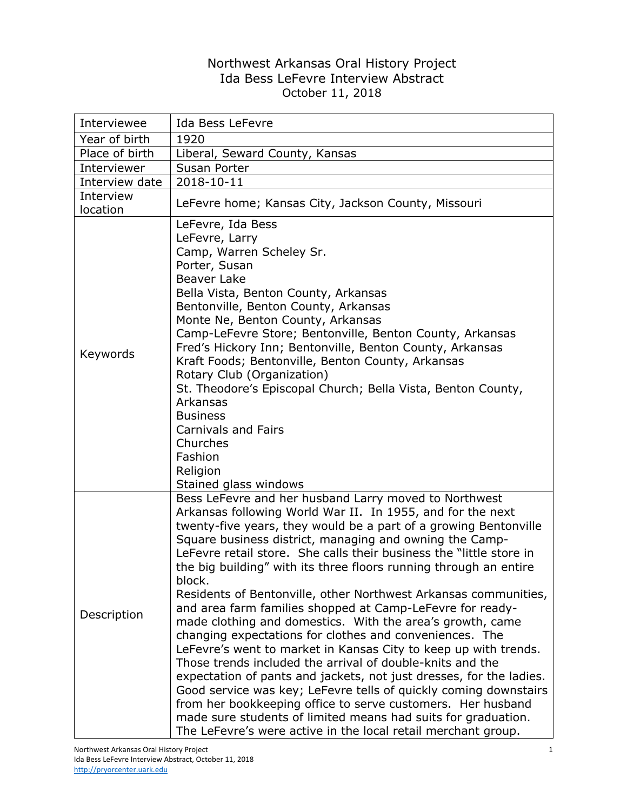## Northwest Arkansas Oral History Project Ida Bess LeFevre Interview Abstract October 11, 2018

| Interviewee           | Ida Bess LeFevre                                                                                                                                                                                                                                                                                                                                                                                                                                                                                                                                                                                                                                                                                                                                                                                                                                                                                                                                                                                                                                                                                                                             |
|-----------------------|----------------------------------------------------------------------------------------------------------------------------------------------------------------------------------------------------------------------------------------------------------------------------------------------------------------------------------------------------------------------------------------------------------------------------------------------------------------------------------------------------------------------------------------------------------------------------------------------------------------------------------------------------------------------------------------------------------------------------------------------------------------------------------------------------------------------------------------------------------------------------------------------------------------------------------------------------------------------------------------------------------------------------------------------------------------------------------------------------------------------------------------------|
| Year of birth         | 1920                                                                                                                                                                                                                                                                                                                                                                                                                                                                                                                                                                                                                                                                                                                                                                                                                                                                                                                                                                                                                                                                                                                                         |
| Place of birth        | Liberal, Seward County, Kansas                                                                                                                                                                                                                                                                                                                                                                                                                                                                                                                                                                                                                                                                                                                                                                                                                                                                                                                                                                                                                                                                                                               |
| Interviewer           | Susan Porter                                                                                                                                                                                                                                                                                                                                                                                                                                                                                                                                                                                                                                                                                                                                                                                                                                                                                                                                                                                                                                                                                                                                 |
| Interview date        | 2018-10-11                                                                                                                                                                                                                                                                                                                                                                                                                                                                                                                                                                                                                                                                                                                                                                                                                                                                                                                                                                                                                                                                                                                                   |
| Interview<br>location | LeFevre home; Kansas City, Jackson County, Missouri                                                                                                                                                                                                                                                                                                                                                                                                                                                                                                                                                                                                                                                                                                                                                                                                                                                                                                                                                                                                                                                                                          |
| Keywords              | LeFevre, Ida Bess<br>LeFevre, Larry<br>Camp, Warren Scheley Sr.<br>Porter, Susan<br><b>Beaver Lake</b><br>Bella Vista, Benton County, Arkansas<br>Bentonville, Benton County, Arkansas<br>Monte Ne, Benton County, Arkansas<br>Camp-LeFevre Store; Bentonville, Benton County, Arkansas<br>Fred's Hickory Inn; Bentonville, Benton County, Arkansas<br>Kraft Foods; Bentonville, Benton County, Arkansas<br>Rotary Club (Organization)<br>St. Theodore's Episcopal Church; Bella Vista, Benton County,<br>Arkansas<br><b>Business</b><br><b>Carnivals and Fairs</b><br>Churches<br>Fashion<br>Religion<br>Stained glass windows                                                                                                                                                                                                                                                                                                                                                                                                                                                                                                              |
| Description           | Bess LeFevre and her husband Larry moved to Northwest<br>Arkansas following World War II. In 1955, and for the next<br>twenty-five years, they would be a part of a growing Bentonville<br>Square business district, managing and owning the Camp-<br>LeFevre retail store. She calls their business the "little store in<br>the big building" with its three floors running through an entire<br>block.<br>Residents of Bentonville, other Northwest Arkansas communities,<br>and area farm families shopped at Camp-LeFevre for ready-<br>made clothing and domestics. With the area's growth, came<br>changing expectations for clothes and conveniences. The<br>LeFevre's went to market in Kansas City to keep up with trends.<br>Those trends included the arrival of double-knits and the<br>expectation of pants and jackets, not just dresses, for the ladies.<br>Good service was key; LeFevre tells of quickly coming downstairs<br>from her bookkeeping office to serve customers. Her husband<br>made sure students of limited means had suits for graduation.<br>The LeFevre's were active in the local retail merchant group. |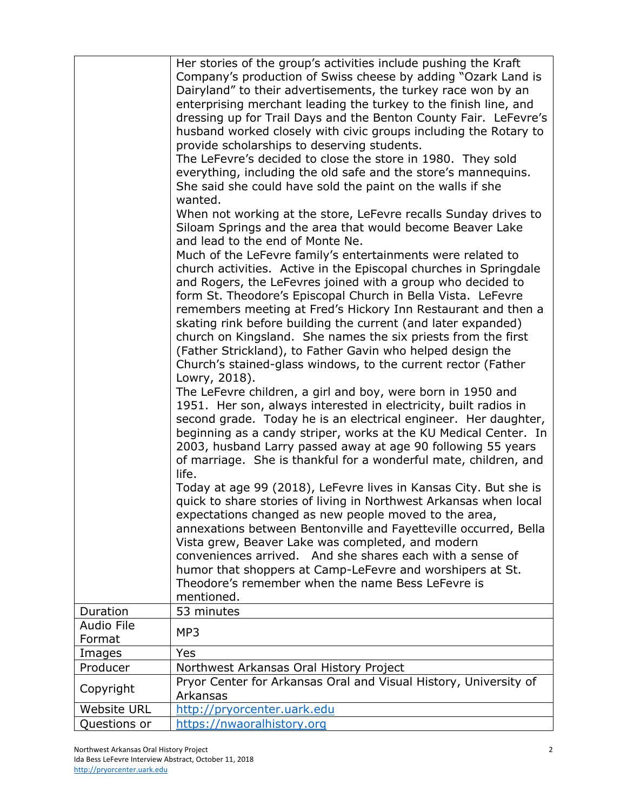|                             | Her stories of the group's activities include pushing the Kraft<br>Company's production of Swiss cheese by adding "Ozark Land is<br>Dairyland" to their advertisements, the turkey race won by an<br>enterprising merchant leading the turkey to the finish line, and                                                                                                                                      |
|-----------------------------|------------------------------------------------------------------------------------------------------------------------------------------------------------------------------------------------------------------------------------------------------------------------------------------------------------------------------------------------------------------------------------------------------------|
|                             | dressing up for Trail Days and the Benton County Fair. LeFevre's<br>husband worked closely with civic groups including the Rotary to                                                                                                                                                                                                                                                                       |
|                             | provide scholarships to deserving students.                                                                                                                                                                                                                                                                                                                                                                |
|                             | The LeFevre's decided to close the store in 1980. They sold<br>everything, including the old safe and the store's mannequins.                                                                                                                                                                                                                                                                              |
|                             | She said she could have sold the paint on the walls if she                                                                                                                                                                                                                                                                                                                                                 |
|                             | wanted.                                                                                                                                                                                                                                                                                                                                                                                                    |
|                             | When not working at the store, LeFevre recalls Sunday drives to<br>Siloam Springs and the area that would become Beaver Lake<br>and lead to the end of Monte Ne.                                                                                                                                                                                                                                           |
|                             | Much of the LeFevre family's entertainments were related to                                                                                                                                                                                                                                                                                                                                                |
|                             | church activities. Active in the Episcopal churches in Springdale<br>and Rogers, the LeFevres joined with a group who decided to<br>form St. Theodore's Episcopal Church in Bella Vista. LeFevre                                                                                                                                                                                                           |
|                             | remembers meeting at Fred's Hickory Inn Restaurant and then a                                                                                                                                                                                                                                                                                                                                              |
|                             | skating rink before building the current (and later expanded)                                                                                                                                                                                                                                                                                                                                              |
|                             | church on Kingsland. She names the six priests from the first<br>(Father Strickland), to Father Gavin who helped design the                                                                                                                                                                                                                                                                                |
|                             | Church's stained-glass windows, to the current rector (Father<br>Lowry, 2018).                                                                                                                                                                                                                                                                                                                             |
|                             | The LeFevre children, a girl and boy, were born in 1950 and<br>1951. Her son, always interested in electricity, built radios in<br>second grade. Today he is an electrical engineer. Her daughter,<br>beginning as a candy striper, works at the KU Medical Center. In<br>2003, husband Larry passed away at age 90 following 55 years<br>of marriage. She is thankful for a wonderful mate, children, and |
|                             | life.<br>Today at age 99 (2018), LeFevre lives in Kansas City. But she is<br>quick to share stories of living in Northwest Arkansas when local                                                                                                                                                                                                                                                             |
|                             | expectations changed as new people moved to the area,                                                                                                                                                                                                                                                                                                                                                      |
|                             | annexations between Bentonville and Fayetteville occurred, Bella                                                                                                                                                                                                                                                                                                                                           |
|                             | Vista grew, Beaver Lake was completed, and modern                                                                                                                                                                                                                                                                                                                                                          |
|                             | conveniences arrived. And she shares each with a sense of                                                                                                                                                                                                                                                                                                                                                  |
|                             | humor that shoppers at Camp-LeFevre and worshipers at St.<br>Theodore's remember when the name Bess LeFevre is                                                                                                                                                                                                                                                                                             |
|                             | mentioned.                                                                                                                                                                                                                                                                                                                                                                                                 |
| Duration                    | 53 minutes                                                                                                                                                                                                                                                                                                                                                                                                 |
| <b>Audio File</b><br>Format | MP3                                                                                                                                                                                                                                                                                                                                                                                                        |
| Images                      | Yes                                                                                                                                                                                                                                                                                                                                                                                                        |
| Producer                    | Northwest Arkansas Oral History Project                                                                                                                                                                                                                                                                                                                                                                    |
| Copyright                   | Pryor Center for Arkansas Oral and Visual History, University of<br>Arkansas                                                                                                                                                                                                                                                                                                                               |
| <b>Website URL</b>          | http://pryorcenter.uark.edu                                                                                                                                                                                                                                                                                                                                                                                |
| Questions or                | https://nwaoralhistory.org                                                                                                                                                                                                                                                                                                                                                                                 |